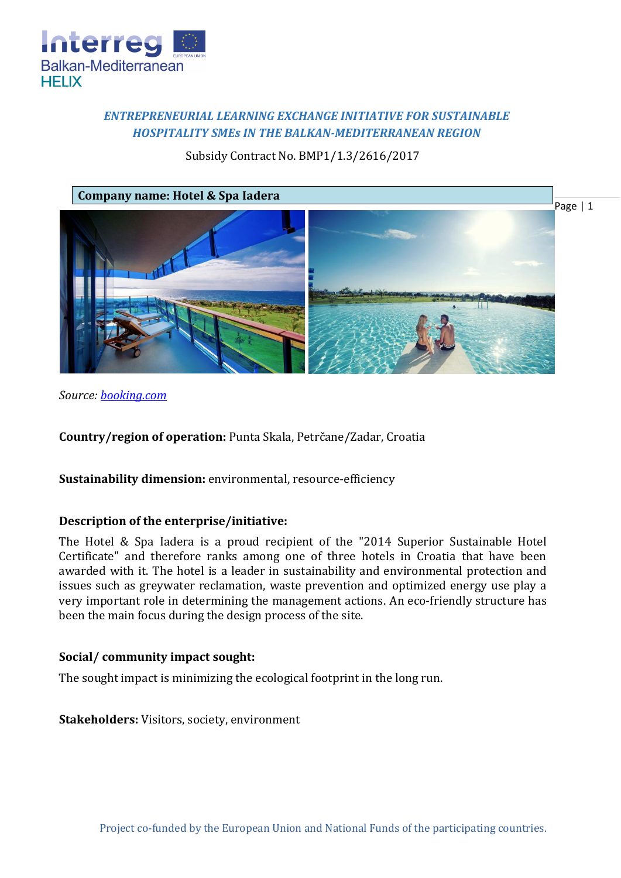

# *ENTREPRENEURIAL LEARNING EXCHANGE INITIATIVE FOR SUSTAINABLE HOSPITALITY SMEs IN THE BALKAN-MEDITERRANEAN REGION*

## Subsidy Contract No. BMP1/1.3/2616/2017



*Source: [booking.com](https://www.booking.com/hotel/hr/falkensteiner-spa-iadera.en-gb.html?aid=357023;label=gog235jc-hotel-XX-hr-falkensteinerNspaNiadera-unspec-bg-com-L%3Aen-O%3AwindowsS10-B%3Achrome-N%3AXX-S%3Abo-U%3AXX-H%3As;sid=897dd9cd2f581698ad82b834c693780a;dist=0&sb_price_type=total&type=total&)* 

**Country/region of operation:** Punta Skala, Petrčane/Zadar, Croatia

**Sustainability dimension:** environmental, resource-efficiency

### **Description of the enterprise/initiative:**

The Hotel & Spa Iadera is a proud recipient of the "2014 Superior Sustainable Hotel Certificate" and therefore ranks among one of three hotels in Croatia that have been awarded with it. The hotel is a leader in sustainability and environmental protection and issues such as greywater reclamation, waste prevention and optimized energy use play a very important role in determining the management actions. An eco-friendly structure has been the main focus during the design process of the site.

### **Social/ community impact sought:**

The sought impact is minimizing the ecological footprint in the long run.

**Stakeholders:** Visitors, society, environment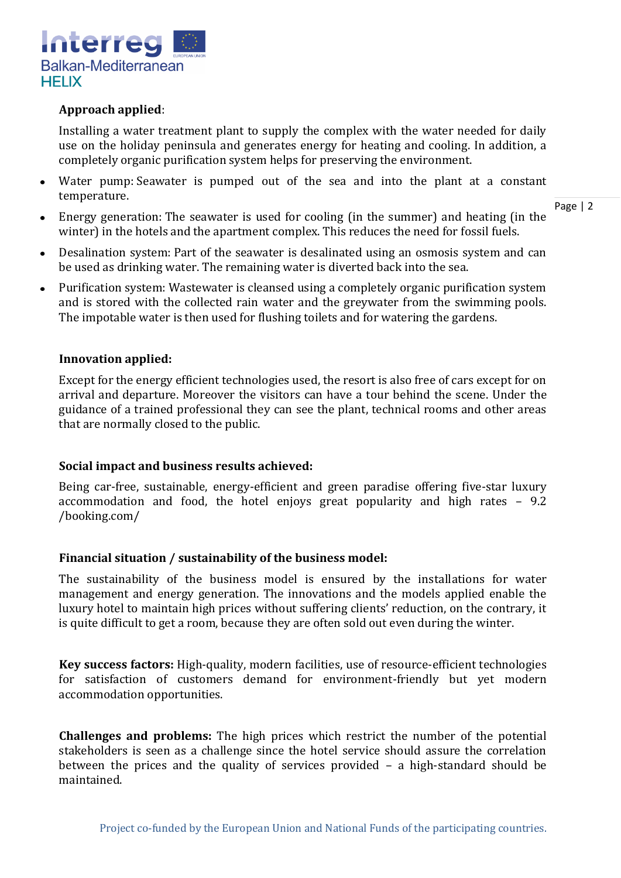

### **Approach applied**:

Installing a water treatment plant to supply the complex with the water needed for daily use on the holiday peninsula and generates energy for heating and cooling. In addition, a completely organic purification system helps for preserving the environment.

Water pump: Seawater is pumped out of the sea and into the plant at a constant temperature.

Page | 2

- Energy generation: The seawater is used for cooling (in the summer) and heating (in the winter) in the hotels and the apartment complex. This reduces the need for fossil fuels.
- Desalination system: Part of the seawater is desalinated using an osmosis system and can  $\bullet$ be used as drinking water. The remaining water is diverted back into the sea.
- Purification system: Wastewater is cleansed using a completely organic purification system and is stored with the collected rain water and the greywater from the swimming pools. The impotable water is then used for flushing toilets and for watering the gardens.

#### **Innovation applied:**

Except for the energy efficient technologies used, the resort is also free of cars except for on arrival and departure. Moreover the visitors can have a tour behind the scene. Under the guidance of a trained professional they can see the plant, technical rooms and other areas that are normally closed to the public.

#### **Social impact and business results achieved:**

Being car-free, sustainable, energy-efficient and green paradise offering five-star luxury accommodation and food, the hotel enjoys great popularity and high rates – 9.2 /booking.com/

#### **Financial situation / sustainability of the business model:**

The sustainability of the business model is ensured by the installations for water management and energy generation. The innovations and the models applied enable the luxury hotel to maintain high prices without suffering clients' reduction, on the contrary, it is quite difficult to get a room, because they are often sold out even during the winter.

**Key success factors:** High-quality, modern facilities, use of resource-efficient technologies for satisfaction of customers demand for environment-friendly but yet modern accommodation opportunities.

**Challenges and problems:** The high prices which restrict the number of the potential stakeholders is seen as a challenge since the hotel service should assure the correlation between the prices and the quality of services provided – a high-standard should be maintained.